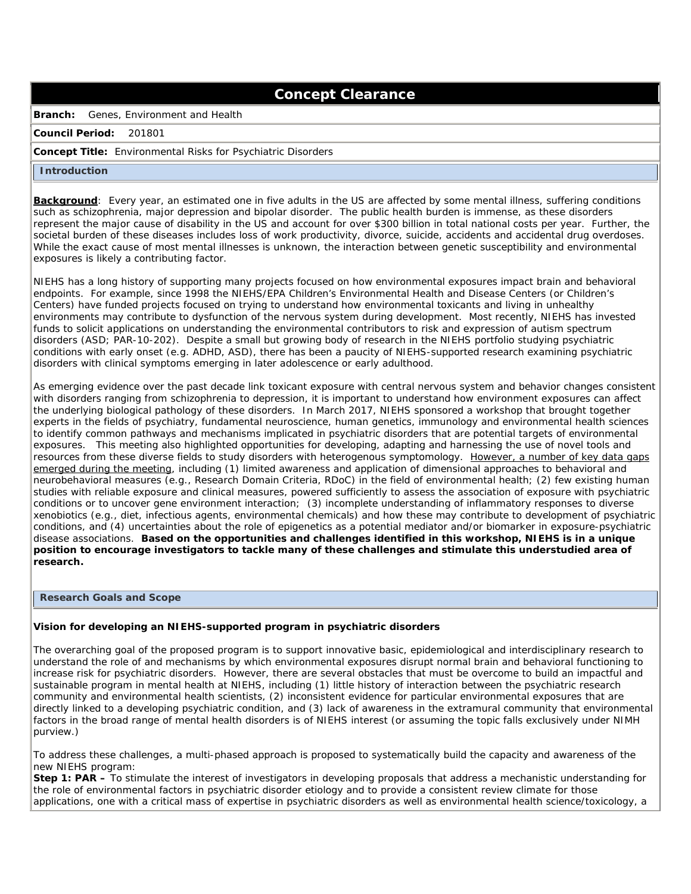# **Concept Clearance**

**Branch:** Genes, Environment and Health

#### **Council Period:** 201801

### **Concept Title:** Environmental Risks for Psychiatric Disorders

#### **Introduction**

 **Background**: Every year, an estimated one in five adults in the US are affected by some mental illness, suffering conditions such as schizophrenia, major depression and bipolar disorder. The public health burden is immense, as these disorders represent the major cause of disability in the US and account for over \$300 billion in total national costs per year. Further, the societal burden of these diseases includes loss of work productivity, divorce, suicide, accidents and accidental drug overdoses. While the exact cause of most mental illnesses is unknown, the interaction between genetic susceptibility and environmental exposures is likely a contributing factor.

 NIEHS has a long history of supporting many projects focused on how environmental exposures impact brain and behavioral endpoints. For example, since 1998 the NIEHS/EPA Children's Environmental Health and Disease Centers (or Children's Centers) have funded projects focused on trying to understand how environmental toxicants and living in unhealthy environments may contribute to dysfunction of the nervous system during development. Most recently, NIEHS has invested funds to solicit applications on understanding the environmental contributors to risk and expression of autism spectrum disorders (ASD; PAR-10-202). Despite a small but growing body of research in the NIEHS portfolio studying psychiatric conditions with early onset (e.g. ADHD, ASD), there has been a paucity of NIEHS-supported research examining psychiatric disorders with clinical symptoms emerging in later adolescence or early adulthood.

 As emerging evidence over the past decade link toxicant exposure with central nervous system and behavior changes consistent with disorders ranging from schizophrenia to depression, it is important to understand how environment exposures can affect the underlying biological pathology of these disorders. In March 2017, NIEHS sponsored a workshop that brought together experts in the fields of psychiatry, fundamental neuroscience, human genetics, immunology and environmental health sciences to identify common pathways and mechanisms implicated in psychiatric disorders that are potential targets of environmental exposures. This meeting also highlighted opportunities for developing, adapting and harnessing the use of novel tools and resources from these diverse fields to study disorders with heterogenous symptomology. However, a number of key data gaps emerged during the meeting, including (1) limited awareness and application of dimensional approaches to behavioral and neurobehavioral measures (e.g., Research Domain Criteria, RDoC) in the field of environmental health; (2) few existing human studies with reliable exposure and clinical measures, powered sufficiently to assess the association of exposure with psychiatric conditions or to uncover gene environment interaction; (3) incomplete understanding of inflammatory responses to diverse xenobiotics (e.g., diet, infectious agents, environmental chemicals) and how these may contribute to development of psychiatric conditions, and (4) uncertainties about the role of epigenetics as a potential mediator and/or biomarker in exposure-psychiatric disease associations. **Based on the opportunities and challenges identified in this workshop, NIEHS is in a unique position to encourage investigators to tackle many of these challenges and stimulate this understudied area of research.** 

## **Research Goals and Scope**

#### **Vision for developing an NIEHS-supported program in psychiatric disorders**

 The overarching goal of the proposed program is to support innovative basic, epidemiological and interdisciplinary research to understand the role of and mechanisms by which environmental exposures disrupt normal brain and behavioral functioning to increase risk for psychiatric disorders. However, there are several obstacles that must be overcome to build an impactful and sustainable program in mental health at NIEHS, including (1) little history of interaction between the psychiatric research community and environmental health scientists, (2) inconsistent evidence for particular environmental exposures that are directly linked to a developing psychiatric condition, and (3) lack of awareness in the extramural community that environmental factors in the broad range of mental health disorders is of NIEHS interest (or assuming the topic falls exclusively under NIMH purview.)

 To address these challenges, a multi-phased approach is proposed to systematically build the capacity and awareness of the new NIEHS program:

 **Step 1: PAR –** To stimulate the interest of investigators in developing proposals that address a mechanistic understanding for the role of environmental factors in psychiatric disorder etiology and to provide a consistent review climate for those applications, one with a critical mass of expertise in psychiatric disorders as well as environmental health science/toxicology, a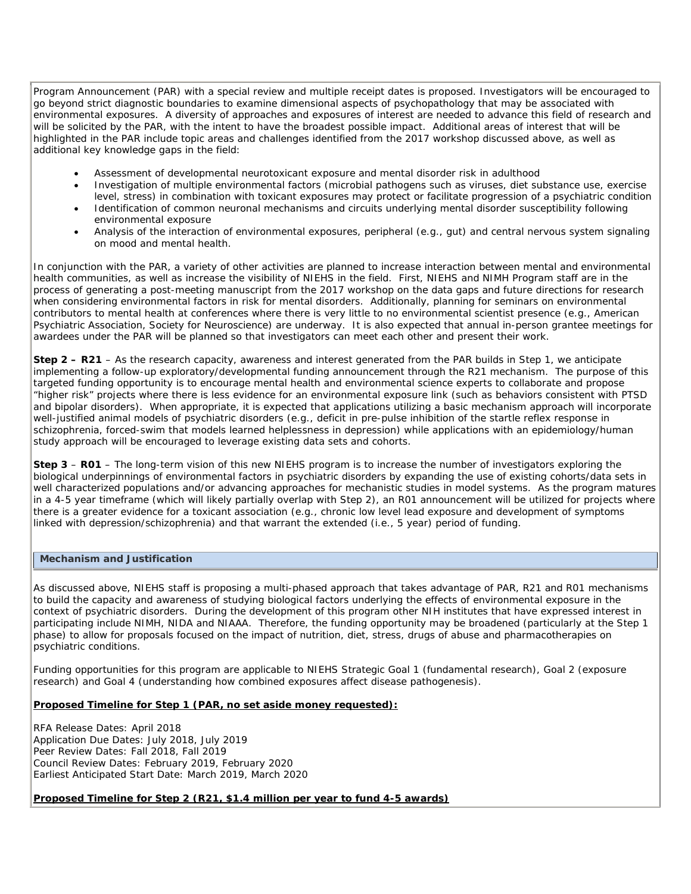Program Announcement (PAR) with a special review and multiple receipt dates is proposed. Investigators will be encouraged to go beyond strict diagnostic boundaries to examine dimensional aspects of psychopathology that may be associated with environmental exposures. A diversity of approaches and exposures of interest are needed to advance this field of research and will be solicited by the PAR, with the intent to have the broadest possible impact. Additional areas of interest that will be highlighted in the PAR include topic areas and challenges identified from the 2017 workshop discussed above, as well as additional key knowledge gaps in the field:

- Assessment of developmental neurotoxicant exposure and mental disorder risk in adulthood
- • Investigation of multiple environmental factors (microbial pathogens such as viruses, diet substance use, exercise level, stress) in combination with toxicant exposures may protect or facilitate progression of a psychiatric condition
- • Identification of common neuronal mechanisms and circuits underlying mental disorder susceptibility following environmental exposure
- • Analysis of the interaction of environmental exposures, peripheral (e.g., gut) and central nervous system signaling on mood and mental health.

 In conjunction with the PAR, a variety of other activities are planned to increase interaction between mental and environmental health communities, as well as increase the visibility of NIEHS in the field. First, NIEHS and NIMH Program staff are in the process of generating a post-meeting manuscript from the 2017 workshop on the data gaps and future directions for research when considering environmental factors in risk for mental disorders. Additionally, planning for seminars on environmental contributors to mental health at conferences where there is very little to no environmental scientist presence (e.g., American Psychiatric Association, Society for Neuroscience) are underway. It is also expected that annual in-person grantee meetings for awardees under the PAR will be planned so that investigators can meet each other and present their work.

 **Step 2 – R21** – As the research capacity, awareness and interest generated from the PAR builds in Step 1, we anticipate implementing a follow-up exploratory/developmental funding announcement through the R21 mechanism. The purpose of this targeted funding opportunity is to encourage mental health and environmental science experts to collaborate and propose "higher risk" projects where there is less evidence for an environmental exposure link (such as behaviors consistent with PTSD and bipolar disorders). When appropriate, it is expected that applications utilizing a basic mechanism approach will incorporate well-justified animal models of psychiatric disorders (e.g., deficit in pre-pulse inhibition of the startle reflex response in schizophrenia, forced-swim that models learned helplessness in depression) while applications with an epidemiology/human study approach will be encouraged to leverage existing data sets and cohorts.

 **Step 3** – **R01** – The long-term vision of this new NIEHS program is to increase the number of investigators exploring the biological underpinnings of environmental factors in psychiatric disorders by expanding the use of existing cohorts/data sets in well characterized populations and/or advancing approaches for mechanistic studies in model systems. As the program matures in a 4-5 year timeframe (which will likely partially overlap with Step 2), an R01 announcement will be utilized for projects where there is a greater evidence for a toxicant association (e.g., chronic low level lead exposure and development of symptoms linked with depression/schizophrenia) and that warrant the extended (i.e., 5 year) period of funding.

# **Mechanism and Justification**

 As discussed above, NIEHS staff is proposing a multi-phased approach that takes advantage of PAR, R21 and R01 mechanisms to build the capacity and awareness of studying biological factors underlying the effects of environmental exposure in the context of psychiatric disorders. During the development of this program other NIH institutes that have expressed interest in participating include NIMH, NIDA and NIAAA. Therefore, the funding opportunity may be broadened (particularly at the Step 1 phase) to allow for proposals focused on the impact of nutrition, diet, stress, drugs of abuse and pharmacotherapies on psychiatric conditions.

psychiatric conditions.<br>Funding opportunities for this program are applicable to NIEHS Strategic Goal 1 (fundamental research), Goal 2 (exposure research) and Goal 4 (understanding how combined exposures affect disease pathogenesis).

## **Proposed Timeline for Step 1 (PAR, no set aside money requested):**

 RFA Release Dates: April 2018 Application Due Dates: July 2018, July 2019 Peer Review Dates: Fall 2018, Fall 2019 Council Review Dates: February 2019, February 2020 Earliest Anticipated Start Date: March 2019, March 2020

# **Proposed Timeline for Step 2 (R21, \$1.4 million per year to fund 4-5 awards)**